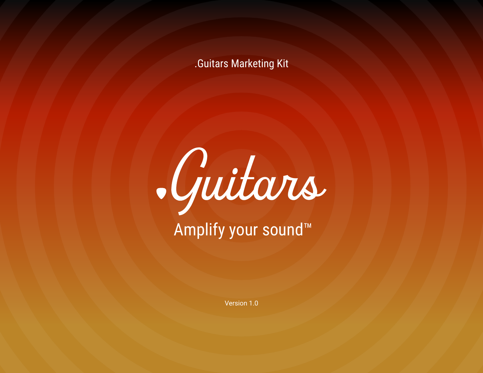# .Guitars Marketing Kit



# Amplify your sound™

Version 1.0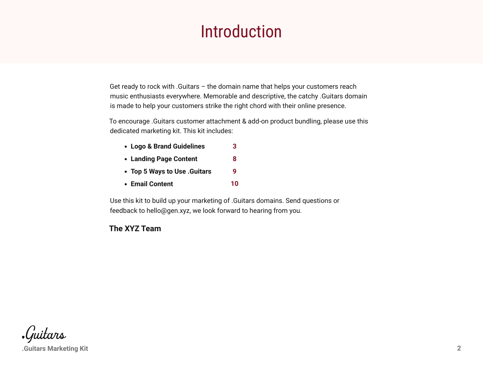# Introduction

Get ready to rock with .Guitars – the domain name that helps your customers reach music enthusiasts everywhere. Memorable and descriptive, the catchy .Guitars domain is made to help your customers strike the right chord with their online presence.

To encourage .Guitars customer attachment & add-on product bundling, please use this dedicated marketing kit. This kit includes:

- **Logo & Brand Guidelines [3](#page-2-0)**
- **Landing Page Content [8](#page-7-0)**
- **Top 5 Ways to Use .Guitars [9](#page-8-0)**
- **Email Content [10](#page-9-0)**

Use this kit to build up your marketing of .Guitars domains. Send questions or feedback to hello@gen.xyz, we look forward to hearing from you.

## **The XYZ Team**

*Guitars* 

**.Guitars Marketing Kit 2**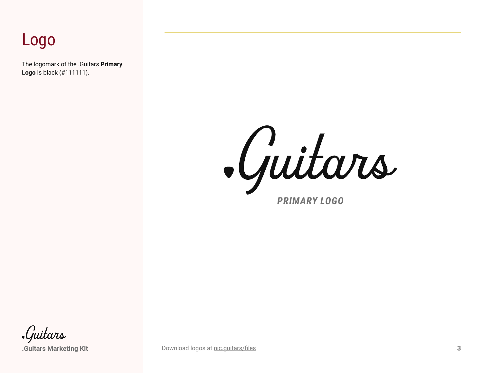# <span id="page-2-0"></span>Logo

The logomark of the .Guitars **Primary Logo** is black (#111111).

Guitars *PRIMARY LOGO*

Guitars

**.Guitars Marketing Kit 3** [Download logos at](https://nic.guitars/files) nic.guitars/files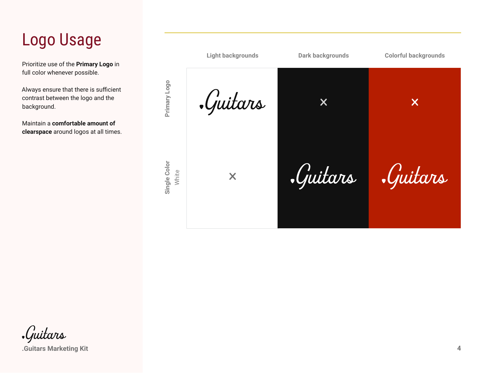# Logo Usage

Prioritize use of the **Primary Logo** in full color whenever possible.

Always ensure that there is sufficient contrast between the logo and the background.

Maintain a **comfortable amount of clearspace** around logos at all times.

> Single Color **Single Color**

**Light backgrounds Dark backgrounds Colorful backgrounds**Primary Logo **Primary Logo** Guitars  $\boldsymbol{\mathsf{X}}$  $\boldsymbol{\mathsf{X}}$ Guitars *.Guitars* White X

*Guitars* 

**.Guitars Marketing Kit 4**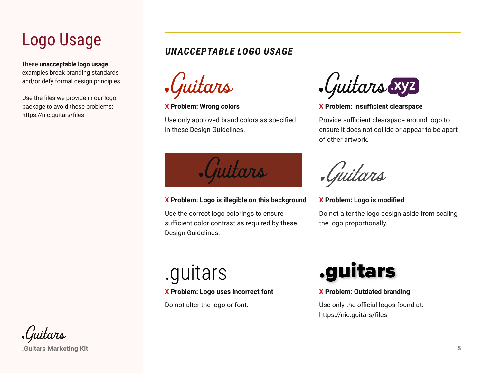# Logo Usage

These **unacceptable logo usage** examples break branding standards and/or defy formal design principles.

Use the files we provide in our logo package to avoid these problems: https://nic.guitars/files

## *UNACCEPTABLE LOGO USAGE*

juitars

#### **X Problem: Wrong colors**

Use only approved brand colors as specified in these Design Guidelines.



#### **X Problem: Logo is illegible on this background**

Use the correct logo colorings to ensure sufficient color contrast as required by these Design Guidelines.

.Guitars xyz

## **X Problem: Insufficient clearspace**

Provide sufficient clearspace around logo to ensure it does not collide or appear to be apart of other artwork.

Guitars

**X Problem: Logo is modified**

Do not alter the logo design aside from scaling the logo proportionally.

#### **X Problem: Logo uses incorrect font**

Do not alter the logo or font.



## **X Problem: Outdated branding**

Use only the official logos found at: https://nic.guitars/files

Guitars

**.Guitars Marketing Kit 5**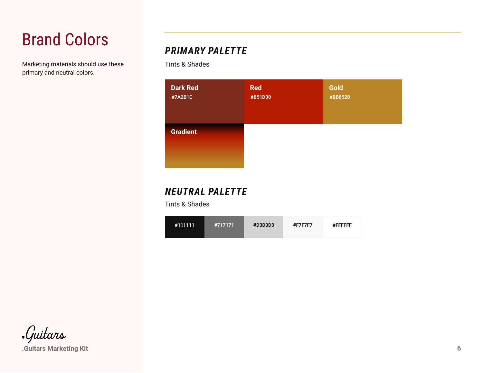# Brand Colors

Marketing materials should use these primary and neutral colors.

# *PRIMARY PALETTE*

Tints & Shades



# *NEUTRAL PALETTE*

Tints & Shades

| #111111<br>#717171 | <b>#D3D3D3</b> | <b>#F7F7F7</b> | #FFFFFFF |
|--------------------|----------------|----------------|----------|
|--------------------|----------------|----------------|----------|

*Guitars* 

**.Guitars Marketing Kit 6**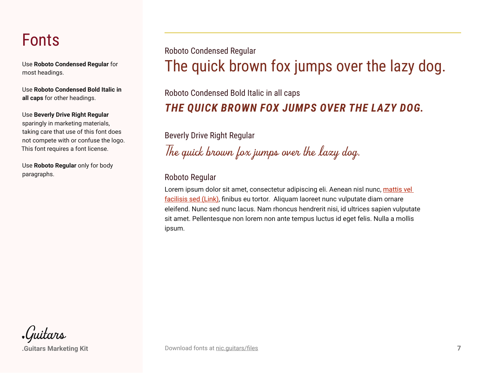# Fonts

Use **Roboto Condensed Regular** for most headings.

Use **Roboto Condensed Bold Italic in all caps** for other headings.

Use **Beverly Drive Right Regular** sparingly in marketing materials, taking care that use of this font does not compete with or confuse the logo. This font requires a font license.

Use **Roboto Regular** only for body paragraphs.

The quick brown fox jumps over the lazy dog. Roboto Condensed Regular

Roboto Condensed Bold Italic in all caps

# *THE QUICK BROWN FOX JUMPS OVER THE LAZY DOG.*

Beverly Drive Right Regular

*The quick brown fox jumps over the lazy dog.*

## Roboto Regular

Lorem ipsum dolor sit amet, consectetur adipiscing eli. Aenean nisl nunc, mattis vel facilisis sed (Link), finibus eu tortor. Aliquam laoreet nunc vulputate diam ornare eleifend. Nunc sed nunc lacus. Nam rhoncus hendrerit nisi, id ultrices sapien vulputate sit amet. Pellentesque non lorem non ante tempus luctus id eget felis. Nulla a mollis ipsum.

juitars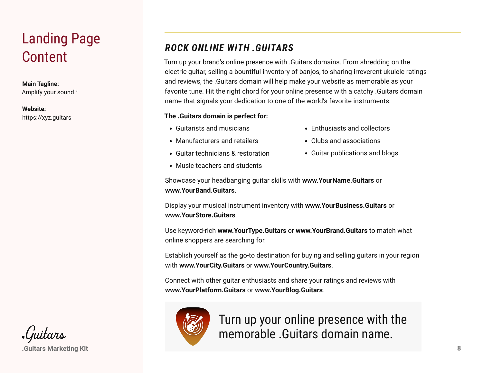# <span id="page-7-0"></span>Landing Page

#### **Main Tagline:**

Amplify your sound™

#### **Website:** https://xyz.guitars

# *ROCK ONLINE WITH .GUITARS*

Content Turn up your brand's online presence with .Guitars domains. From shredding on the electric guitar, selling a bountiful inventory of banjos, to sharing irreverent ukulele ratings and reviews, the .Guitars domain will help make your website as memorable as your favorite tune. Hit the right chord for your online presence with a catchy .Guitars domain name that signals your dedication to one of the world's favorite instruments.

## **The .Guitars domain is perfect for:**

- Guitarists and musicians
- Manufacturers and retailers
- Guitar technicians & restoration
- Music teachers and students
- Enthusiasts and collectors
- Clubs and associations
- Guitar publications and blogs

Showcase your headbanging guitar skills with **www.YourName.Guitars** or **www.YourBand.Guitars**.

Display your musical instrument inventory with **www.YourBusiness.Guitars** or **www.YourStore.Guitars**.

Use keyword-rich **www.YourType.Guitars** or **www.YourBrand.Guitars** to match what online shoppers are searching for.

Establish yourself as the go-to destination for buying and selling guitars in your region with **www.YourCity.Guitars** or **www.YourCountry.Guitars**.

Connect with other guitar enthusiasts and share your ratings and reviews with **www.YourPlatform.Guitars** or **www.YourBlog.Guitars**.



Turn up your online presence with the memorable .Guitars domain name.

**.Guitars Marketing Kit 8**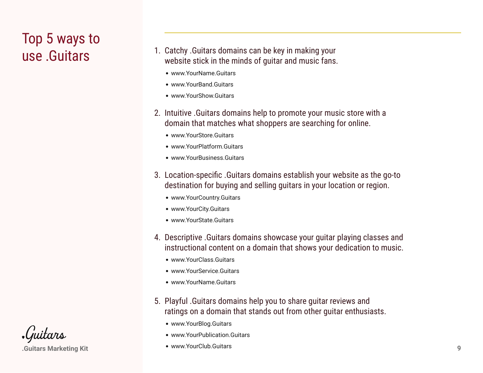# <span id="page-8-0"></span>Top 5 ways to

- **use .Guitars Catchy .Guitars domains can be key in making your** 1. Catchy .Guitars domains can be key in making your vertical street. website stick in the minds of guitar and music fans.
	- www.YourName.Guitars
	- www.YourBand.Guitars
	- www.YourShow.Guitars
	- 2. Intuitive .Guitars domains help to promote your music store with a domain that matches what shoppers are searching for online.
		- www.YourStore.Guitars
		- www.YourPlatform.Guitars
		- www.YourBusiness.Guitars
	- 3. Location-specific .Guitars domains establish your website as the go-to destination for buying and selling guitars in your location or region.
		- www.YourCountry.Guitars
		- www.YourCity.Guitars
		- www.YourState.Guitars
	- 4. Descriptive .Guitars domains showcase your guitar playing classes and instructional content on a domain that shows your dedication to music.
		- www.YourClass.Guitars
		- www.YourService.Guitars
		- www.YourName.Guitars
	- 5. Playful .Guitars domains help you to share guitar reviews and ratings on a domain that stands out from other guitar enthusiasts.
		- www.YourBlog.Guitars
		- www.YourPublication.Guitars
		- www.YourClub.Guitars



**.Guitars Marketing Kit 9**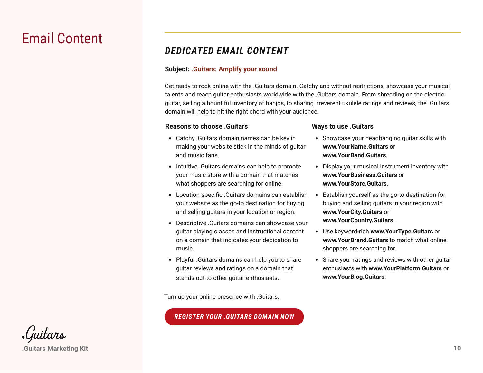# <span id="page-9-0"></span>Email Content

## *DEDICATED EMAIL CONTENT*

## **Subject: .Guitars: Amplify your sound**

Get ready to rock online with the .Guitars domain. Catchy and without restrictions, showcase your musical talents and reach guitar enthusiasts worldwide with the .Guitars domain. From shredding on the electric guitar, selling a bountiful inventory of banjos, to sharing irreverent ukulele ratings and reviews, the .Guitars domain will help to hit the right chord with your audience.

## **Reasons to choose .Guitars**

- Catchy .Guitars domain names can be key in making your website stick in the minds of guitar and music fans.
- Intuitive .Guitars domains can help to promote your music store with a domain that matches what shoppers are searching for online.
- Location-specific .Guitars domains can establish your website as the go-to destination for buying and selling guitars in your location or region.
- Descriptive .Guitars domains can showcase your guitar playing classes and instructional content on a domain that indicates your dedication to music.
- Playful .Guitars domains can help you to share guitar reviews and ratings on a domain that stands out to other guitar enthusiasts.

Turn up your online presence with .Guitars.

## *REGISTER YOUR .GUITARS DOMAIN NOW*

## **Ways to use .Guitars**

- Showcase your headbanging guitar skills with **www.YourName.Guitars** or **www.YourBand.Guitars**.
- Display your musical instrument inventory with **www.YourBusiness.Guitars** or **www.YourStore.Guitars**.
- Establish yourself as the go-to destination for buying and selling guitars in your region with **www.YourCity.Guitars** or **www.YourCountry.Guitars**.
- Use keyword-rich **www.YourType.Guitars** or **www.YourBrand.Guitars** to match what online shoppers are searching for.
- Share your ratings and reviews with other guitar enthusiasts with **www.YourPlatform.Guitars** or **www.YourBlog.Guitars**.

•Guitars **.Guitars Marketing Kit 10**